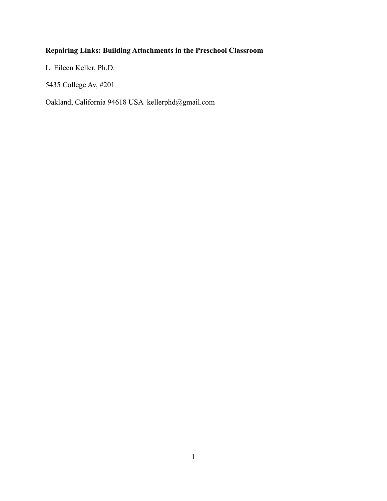# **Repairing Links: Building Attachments in the Preschool Classroom**

L. Eileen Keller, Ph.D.

5435 College Av, #201

Oakland, California 94618 USA kellerphd@gmail.com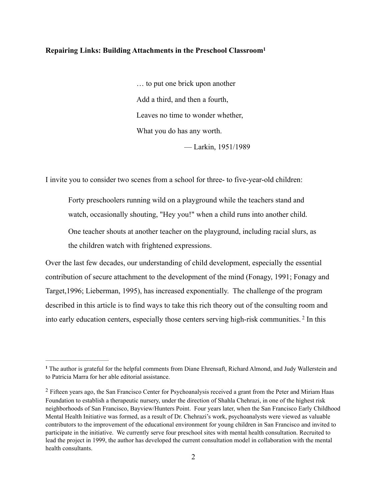# **Repairing Links: Building Attachments in the Preschool Classroom1**

… to put one brick upon another Add a third, and then a fourth, Leaves no time to wonder whether, What you do has any worth. — Larkin, 1951/1989

I invite you to consider two scenes from a school for three- to five-year-old children:

Forty preschoolers running wild on a playground while the teachers stand and watch, occasionally shouting, "Hey you!" when a child runs into another child.

One teacher shouts at another teacher on the playground, including racial slurs, as the children watch with frightened expressions.

Over the last few decades, our understanding of child development, especially the essential contribution of secure attachment to the development of the mind (Fonagy, 1991; Fonagy and Target,1996; Lieberman, 1995), has increased exponentially. The challenge of the program described in this article is to find ways to take this rich theory out of the consulting room and into early education centers, especially those centers serving high-risk communities.<sup>2</sup> In this

<sup>&</sup>lt;sup>1</sup> The author is grateful for the helpful comments from Diane Ehrensaft, Richard Almond, and Judy Wallerstein and to Patricia Marra for her able editorial assistance.

<sup>&</sup>lt;sup>2</sup> Fifteen years ago, the San Francisco Center for Psychoanalysis received a grant from the Peter and Miriam Haas Foundation to establish a therapeutic nursery, under the direction of Shahla Chehrazi, in one of the highest risk neighborhoods of San Francisco, Bayview/Hunters Point. Four years later, when the San Francisco Early Childhood Mental Health Initiative was formed, as a result of Dr. Chehrazi's work, psychoanalysts were viewed as valuable contributors to the improvement of the educational environment for young children in San Francisco and invited to participate in the initiative. We currently serve four preschool sites with mental health consultation. Recruited to lead the project in 1999, the author has developed the current consultation model in collaboration with the mental health consultants.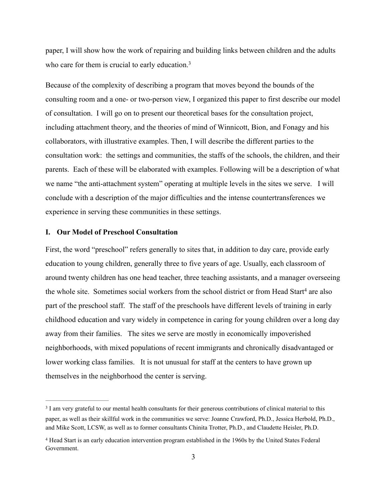paper, I will show how the work of repairing and building links between children and the adults who care for them is crucial to early education.<sup>3</sup>

Because of the complexity of describing a program that moves beyond the bounds of the consulting room and a one- or two-person view, I organized this paper to first describe our model of consultation. I will go on to present our theoretical bases for the consultation project, including attachment theory, and the theories of mind of Winnicott, Bion, and Fonagy and his collaborators, with illustrative examples. Then, I will describe the different parties to the consultation work: the settings and communities, the staffs of the schools, the children, and their parents. Each of these will be elaborated with examples. Following will be a description of what we name "the anti-attachment system" operating at multiple levels in the sites we serve. I will conclude with a description of the major difficulties and the intense countertransferences we experience in serving these communities in these settings.

## **I. Our Model of Preschool Consultation**

First, the word "preschool" refers generally to sites that, in addition to day care, provide early education to young children, generally three to five years of age. Usually, each classroom of around twenty children has one head teacher, three teaching assistants, and a manager overseeing the whole site. Sometimes social workers from the school district or from Head Start<sup>4</sup> are also part of the preschool staff. The staff of the preschools have different levels of training in early childhood education and vary widely in competence in caring for young children over a long day away from their families. The sites we serve are mostly in economically impoverished neighborhoods, with mixed populations of recent immigrants and chronically disadvantaged or lower working class families. It is not unusual for staff at the centers to have grown up themselves in the neighborhood the center is serving.

<sup>&</sup>lt;sup>3</sup> I am very grateful to our mental health consultants for their generous contributions of clinical material to this paper, as well as their skillful work in the communities we serve: Joanne Crawford, Ph.D., Jessica Herbold, Ph.D., and Mike Scott, LCSW, as well as to former consultants Chinita Trotter, Ph.D., and Claudette Heisler, Ph.D.

<sup>&</sup>lt;sup>4</sup> Head Start is an early education intervention program established in the 1960s by the United States Federal Government.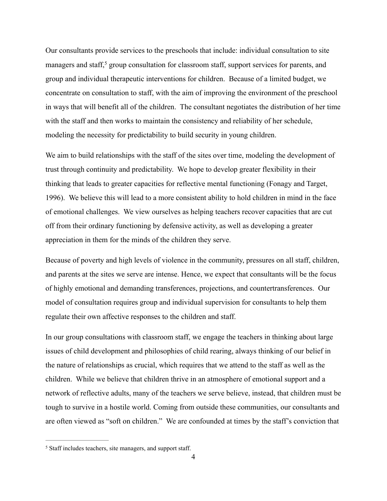Our consultants provide services to the preschools that include: individual consultation to site managers and staff, $\frac{5}{5}$  group consultation for classroom staff, support services for parents, and group and individual therapeutic interventions for children. Because of a limited budget, we concentrate on consultation to staff, with the aim of improving the environment of the preschool in ways that will benefit all of the children. The consultant negotiates the distribution of her time with the staff and then works to maintain the consistency and reliability of her schedule, modeling the necessity for predictability to build security in young children.

We aim to build relationships with the staff of the sites over time, modeling the development of trust through continuity and predictability. We hope to develop greater flexibility in their thinking that leads to greater capacities for reflective mental functioning (Fonagy and Target, 1996). We believe this will lead to a more consistent ability to hold children in mind in the face of emotional challenges. We view ourselves as helping teachers recover capacities that are cut off from their ordinary functioning by defensive activity, as well as developing a greater appreciation in them for the minds of the children they serve.

Because of poverty and high levels of violence in the community, pressures on all staff, children, and parents at the sites we serve are intense. Hence, we expect that consultants will be the focus of highly emotional and demanding transferences, projections, and countertransferences. Our model of consultation requires group and individual supervision for consultants to help them regulate their own affective responses to the children and staff.

In our group consultations with classroom staff, we engage the teachers in thinking about large issues of child development and philosophies of child rearing, always thinking of our belief in the nature of relationships as crucial, which requires that we attend to the staff as well as the children. While we believe that children thrive in an atmosphere of emotional support and a network of reflective adults, many of the teachers we serve believe, instead, that children must be tough to survive in a hostile world. Coming from outside these communities, our consultants and are often viewed as "soft on children." We are confounded at times by the staff's conviction that

<sup>&</sup>lt;sup>5</sup> Staff includes teachers, site managers, and support staff.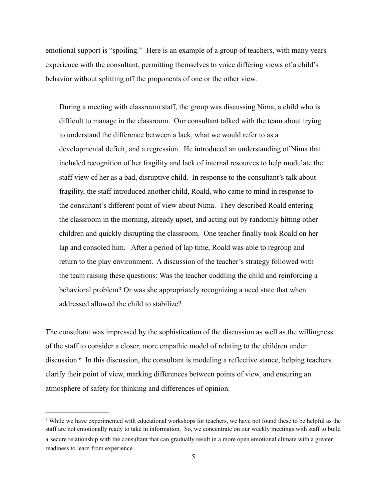emotional support is "spoiling." Here is an example of a group of teachers, with many years experience with the consultant, permitting themselves to voice differing views of a child's behavior without splitting off the proponents of one or the other view.

During a meeting with classroom staff, the group was discussing Nima, a child who is difficult to manage in the classroom. Our consultant talked with the team about trying to understand the difference between a lack, what we would refer to as a developmental deficit, and a regression. He introduced an understanding of Nima that included recognition of her fragility and lack of internal resources to help modulate the staff view of her as a bad, disruptive child. In response to the consultant's talk about fragility, the staff introduced another child, Roald, who came to mind in response to the consultant's different point of view about Nima. They described Roald entering the classroom in the morning, already upset, and acting out by randomly hitting other children and quickly disrupting the classroom. One teacher finally took Roald on her lap and consoled him. After a period of lap time, Roald was able to regroup and return to the play environment. A discussion of the teacher's strategy followed with the team raising these questions: Was the teacher coddling the child and reinforcing a behavioral problem? Or was she appropriately recognizing a need state that when addressed allowed the child to stabilize?

The consultant was impressed by the sophistication of the discussion as well as the willingness of the staff to consider a closer, more empathic model of relating to the children under discussion.<sup>6</sup> In this discussion, the consultant is modeling a reflective stance, helping teachers clarify their point of view, marking differences between points of view, and ensuring an atmosphere of safety for thinking and differences of opinion.

While we have experimented with educational workshops for teachers, we have not found these to be helpful as the 6 staff are not emotionally ready to take in information. So, we concentrate on our weekly meetings with staff to build a secure relationship with the consultant that can gradually result in a more open emotional climate with a greater readiness to learn from experience.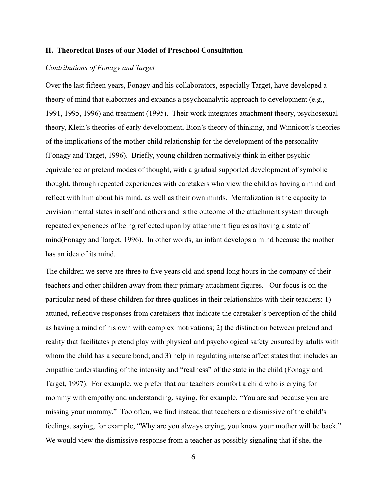## **II. Theoretical Bases of our Model of Preschool Consultation**

## *Contributions of Fonagy and Target*

Over the last fifteen years, Fonagy and his collaborators, especially Target, have developed a theory of mind that elaborates and expands a psychoanalytic approach to development (e.g., 1991, 1995, 1996) and treatment (1995). Their work integrates attachment theory, psychosexual theory, Klein's theories of early development, Bion's theory of thinking, and Winnicott's theories of the implications of the mother-child relationship for the development of the personality (Fonagy and Target, 1996). Briefly, young children normatively think in either psychic equivalence or pretend modes of thought, with a gradual supported development of symbolic thought, through repeated experiences with caretakers who view the child as having a mind and reflect with him about his mind, as well as their own minds. Mentalization is the capacity to envision mental states in self and others and is the outcome of the attachment system through repeated experiences of being reflected upon by attachment figures as having a state of mind(Fonagy and Target, 1996). In other words, an infant develops a mind because the mother has an idea of its mind.

The children we serve are three to five years old and spend long hours in the company of their teachers and other children away from their primary attachment figures. Our focus is on the particular need of these children for three qualities in their relationships with their teachers: 1) attuned, reflective responses from caretakers that indicate the caretaker's perception of the child as having a mind of his own with complex motivations; 2) the distinction between pretend and reality that facilitates pretend play with physical and psychological safety ensured by adults with whom the child has a secure bond; and 3) help in regulating intense affect states that includes an empathic understanding of the intensity and "realness" of the state in the child (Fonagy and Target, 1997). For example, we prefer that our teachers comfort a child who is crying for mommy with empathy and understanding, saying, for example, "You are sad because you are missing your mommy." Too often, we find instead that teachers are dismissive of the child's feelings, saying, for example, "Why are you always crying, you know your mother will be back." We would view the dismissive response from a teacher as possibly signaling that if she, the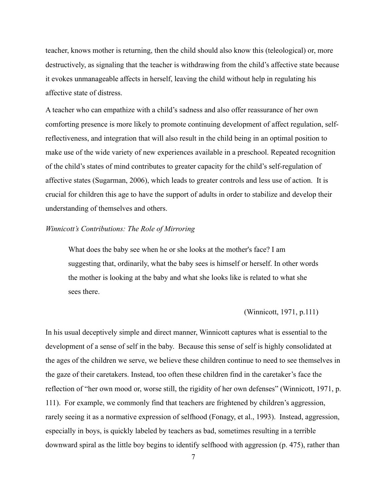teacher, knows mother is returning, then the child should also know this (teleological) or, more destructively, as signaling that the teacher is withdrawing from the child's affective state because it evokes unmanageable affects in herself, leaving the child without help in regulating his affective state of distress.

A teacher who can empathize with a child's sadness and also offer reassurance of her own comforting presence is more likely to promote continuing development of affect regulation, selfreflectiveness, and integration that will also result in the child being in an optimal position to make use of the wide variety of new experiences available in a preschool. Repeated recognition of the child's states of mind contributes to greater capacity for the child's self-regulation of affective states (Sugarman, 2006), which leads to greater controls and less use of action. It is crucial for children this age to have the support of adults in order to stabilize and develop their understanding of themselves and others.

## *Winnicott's Contributions: The Role of Mirroring*

What does the baby see when he or she looks at the mother's face? I am suggesting that, ordinarily, what the baby sees is himself or herself. In other words the mother is looking at the baby and what she looks like is related to what she sees there.

## (Winnicott, 1971, p.111)

In his usual deceptively simple and direct manner, Winnicott captures what is essential to the development of a sense of self in the baby. Because this sense of self is highly consolidated at the ages of the children we serve, we believe these children continue to need to see themselves in the gaze of their caretakers. Instead, too often these children find in the caretaker's face the reflection of "her own mood or, worse still, the rigidity of her own defenses" (Winnicott, 1971, p. 111). For example, we commonly find that teachers are frightened by children's aggression, rarely seeing it as a normative expression of selfhood (Fonagy, et al., 1993). Instead, aggression, especially in boys, is quickly labeled by teachers as bad, sometimes resulting in a terrible downward spiral as the little boy begins to identify selfhood with aggression (p. 475), rather than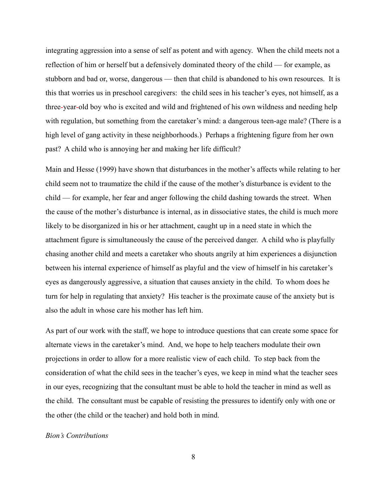integrating aggression into a sense of self as potent and with agency. When the child meets not a reflection of him or herself but a defensively dominated theory of the child — for example, as stubborn and bad or, worse, dangerous — then that child is abandoned to his own resources. It is this that worries us in preschool caregivers: the child sees in his teacher's eyes, not himself, as a three-year-old boy who is excited and wild and frightened of his own wildness and needing help with regulation, but something from the caretaker's mind: a dangerous teen-age male? (There is a high level of gang activity in these neighborhoods.) Perhaps a frightening figure from her own past? A child who is annoying her and making her life difficult?

Main and Hesse (1999) have shown that disturbances in the mother's affects while relating to her child seem not to traumatize the child if the cause of the mother's disturbance is evident to the child — for example, her fear and anger following the child dashing towards the street. When the cause of the mother's disturbance is internal, as in dissociative states, the child is much more likely to be disorganized in his or her attachment, caught up in a need state in which the attachment figure is simultaneously the cause of the perceived danger. A child who is playfully chasing another child and meets a caretaker who shouts angrily at him experiences a disjunction between his internal experience of himself as playful and the view of himself in his caretaker's eyes as dangerously aggressive, a situation that causes anxiety in the child. To whom does he turn for help in regulating that anxiety? His teacher is the proximate cause of the anxiety but is also the adult in whose care his mother has left him.

As part of our work with the staff, we hope to introduce questions that can create some space for alternate views in the caretaker's mind. And, we hope to help teachers modulate their own projections in order to allow for a more realistic view of each child. To step back from the consideration of what the child sees in the teacher's eyes, we keep in mind what the teacher sees in our eyes, recognizing that the consultant must be able to hold the teacher in mind as well as the child. The consultant must be capable of resisting the pressures to identify only with one or the other (the child or the teacher) and hold both in mind.

## *Bion's Contributions*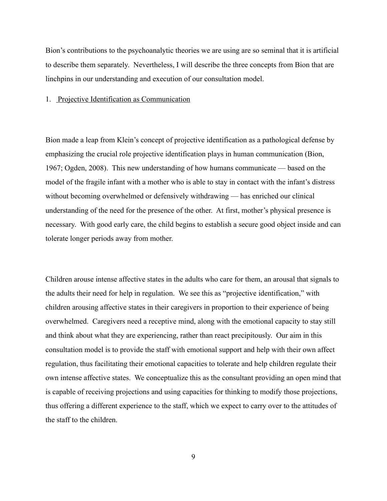Bion's contributions to the psychoanalytic theories we are using are so seminal that it is artificial to describe them separately. Nevertheless, I will describe the three concepts from Bion that are linchpins in our understanding and execution of our consultation model.

#### 1. Projective Identification as Communication

Bion made a leap from Klein's concept of projective identification as a pathological defense by emphasizing the crucial role projective identification plays in human communication (Bion, 1967; Ogden, 2008). This new understanding of how humans communicate — based on the model of the fragile infant with a mother who is able to stay in contact with the infant's distress without becoming overwhelmed or defensively withdrawing — has enriched our clinical understanding of the need for the presence of the other. At first, mother's physical presence is necessary. With good early care, the child begins to establish a secure good object inside and can tolerate longer periods away from mother.

Children arouse intense affective states in the adults who care for them, an arousal that signals to the adults their need for help in regulation. We see this as "projective identification," with children arousing affective states in their caregivers in proportion to their experience of being overwhelmed. Caregivers need a receptive mind, along with the emotional capacity to stay still and think about what they are experiencing, rather than react precipitously. Our aim in this consultation model is to provide the staff with emotional support and help with their own affect regulation, thus facilitating their emotional capacities to tolerate and help children regulate their own intense affective states. We conceptualize this as the consultant providing an open mind that is capable of receiving projections and using capacities for thinking to modify those projections, thus offering a different experience to the staff, which we expect to carry over to the attitudes of the staff to the children.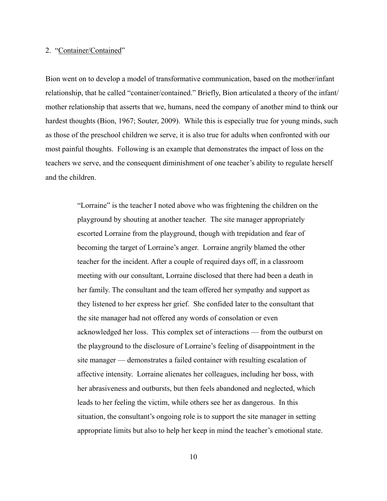#### 2. "Container/Contained"

Bion went on to develop a model of transformative communication, based on the mother/infant relationship, that he called "container/contained." Briefly, Bion articulated a theory of the infant/ mother relationship that asserts that we, humans, need the company of another mind to think our hardest thoughts (Bion, 1967; Souter, 2009). While this is especially true for young minds, such as those of the preschool children we serve, it is also true for adults when confronted with our most painful thoughts. Following is an example that demonstrates the impact of loss on the teachers we serve, and the consequent diminishment of one teacher's ability to regulate herself and the children.

> "Lorraine" is the teacher I noted above who was frightening the children on the playground by shouting at another teacher. The site manager appropriately escorted Lorraine from the playground, though with trepidation and fear of becoming the target of Lorraine's anger. Lorraine angrily blamed the other teacher for the incident. After a couple of required days off, in a classroom meeting with our consultant, Lorraine disclosed that there had been a death in her family. The consultant and the team offered her sympathy and support as they listened to her express her grief. She confided later to the consultant that the site manager had not offered any words of consolation or even acknowledged her loss. This complex set of interactions — from the outburst on the playground to the disclosure of Lorraine's feeling of disappointment in the site manager — demonstrates a failed container with resulting escalation of affective intensity. Lorraine alienates her colleagues, including her boss, with her abrasiveness and outbursts, but then feels abandoned and neglected, which leads to her feeling the victim, while others see her as dangerous. In this situation, the consultant's ongoing role is to support the site manager in setting appropriate limits but also to help her keep in mind the teacher's emotional state.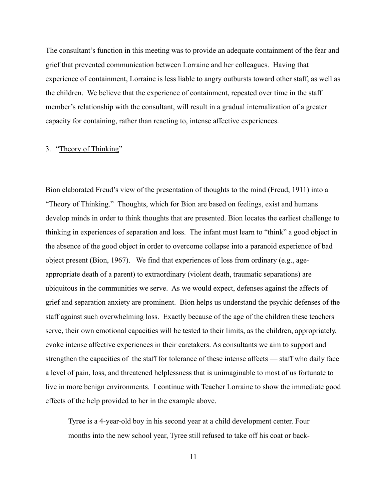The consultant's function in this meeting was to provide an adequate containment of the fear and grief that prevented communication between Lorraine and her colleagues. Having that experience of containment, Lorraine is less liable to angry outbursts toward other staff, as well as the children. We believe that the experience of containment, repeated over time in the staff member's relationship with the consultant, will result in a gradual internalization of a greater capacity for containing, rather than reacting to, intense affective experiences.

## 3. "Theory of Thinking"

Bion elaborated Freud's view of the presentation of thoughts to the mind (Freud, 1911) into a "Theory of Thinking." Thoughts, which for Bion are based on feelings, exist and humans develop minds in order to think thoughts that are presented. Bion locates the earliest challenge to thinking in experiences of separation and loss. The infant must learn to "think" a good object in the absence of the good object in order to overcome collapse into a paranoid experience of bad object present (Bion, 1967). We find that experiences of loss from ordinary (e.g., ageappropriate death of a parent) to extraordinary (violent death, traumatic separations) are ubiquitous in the communities we serve. As we would expect, defenses against the affects of grief and separation anxiety are prominent. Bion helps us understand the psychic defenses of the staff against such overwhelming loss. Exactly because of the age of the children these teachers serve, their own emotional capacities will be tested to their limits, as the children, appropriately, evoke intense affective experiences in their caretakers. As consultants we aim to support and strengthen the capacities of the staff for tolerance of these intense affects — staff who daily face a level of pain, loss, and threatened helplessness that is unimaginable to most of us fortunate to live in more benign environments. I continue with Teacher Lorraine to show the immediate good effects of the help provided to her in the example above.

Tyree is a 4-year-old boy in his second year at a child development center. Four months into the new school year, Tyree still refused to take off his coat or back-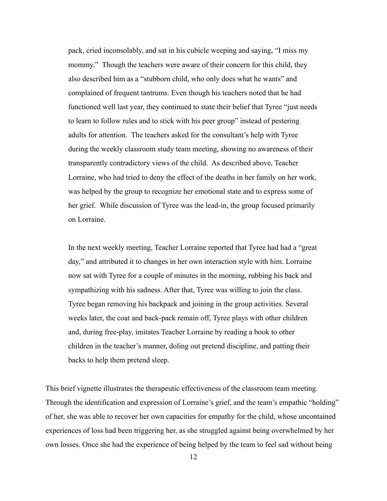pack, cried inconsolably, and sat in his cubicle weeping and saying, "I miss my mommy." Though the teachers were aware of their concern for this child, they also described him as a "stubborn child, who only does what he wants" and complained of frequent tantrums. Even though his teachers noted that he had functioned well last year, they continued to state their belief that Tyree "just needs to learn to follow rules and to stick with his peer group" instead of pestering adults for attention. The teachers asked for the consultant's help with Tyree during the weekly classroom study team meeting, showing no awareness of their transparently contradictory views of the child. As described above, Teacher Lorraine, who had tried to deny the effect of the deaths in her family on her work, was helped by the group to recognize her emotional state and to express some of her grief. While discussion of Tyree was the lead-in, the group focused primarily on Lorraine.

In the next weekly meeting, Teacher Lorraine reported that Tyree had had a "great day," and attributed it to changes in her own interaction style with him. Lorraine now sat with Tyree for a couple of minutes in the morning, rubbing his back and sympathizing with his sadness. After that, Tyree was willing to join the class. Tyree began removing his backpack and joining in the group activities. Several weeks later, the coat and back-pack remain off, Tyree plays with other children and, during free-play, imitates Teacher Lorraine by reading a book to other children in the teacher's manner, doling out pretend discipline, and patting their backs to help them pretend sleep.

This brief vignette illustrates the therapeutic effectiveness of the classroom team meeting. Through the identification and expression of Lorraine's grief, and the team's empathic "holding" of her, she was able to recover her own capacities for empathy for the child, whose uncontained experiences of loss had been triggering her, as she struggled against being overwhelmed by her own losses. Once she had the experience of being helped by the team to feel sad without being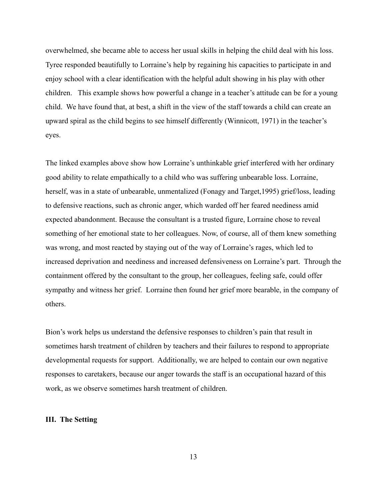overwhelmed, she became able to access her usual skills in helping the child deal with his loss. Tyree responded beautifully to Lorraine's help by regaining his capacities to participate in and enjoy school with a clear identification with the helpful adult showing in his play with other children. This example shows how powerful a change in a teacher's attitude can be for a young child. We have found that, at best, a shift in the view of the staff towards a child can create an upward spiral as the child begins to see himself differently (Winnicott, 1971) in the teacher's eyes.

The linked examples above show how Lorraine's unthinkable grief interfered with her ordinary good ability to relate empathically to a child who was suffering unbearable loss. Lorraine, herself, was in a state of unbearable, unmentalized (Fonagy and Target,1995) grief/loss, leading to defensive reactions, such as chronic anger, which warded off her feared neediness amid expected abandonment. Because the consultant is a trusted figure, Lorraine chose to reveal something of her emotional state to her colleagues. Now, of course, all of them knew something was wrong, and most reacted by staying out of the way of Lorraine's rages, which led to increased deprivation and neediness and increased defensiveness on Lorraine's part. Through the containment offered by the consultant to the group, her colleagues, feeling safe, could offer sympathy and witness her grief. Lorraine then found her grief more bearable, in the company of others.

Bion's work helps us understand the defensive responses to children's pain that result in sometimes harsh treatment of children by teachers and their failures to respond to appropriate developmental requests for support. Additionally, we are helped to contain our own negative responses to caretakers, because our anger towards the staff is an occupational hazard of this work, as we observe sometimes harsh treatment of children.

#### **III. The Setting**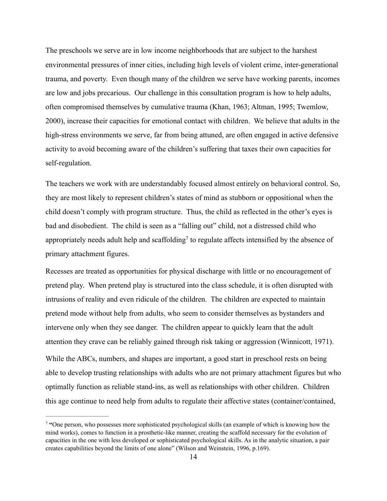The preschools we serve are in low income neighborhoods that are subject to the harshest environmental pressures of inner cities, including high levels of violent crime, inter-generational trauma, and poverty. Even though many of the children we serve have working parents, incomes are low and jobs precarious. Our challenge in this consultation program is how to help adults, often compromised themselves by cumulative trauma (Khan, 1963; Altman, 1995; Twemlow, 2000), increase their capacities for emotional contact with children. We believe that adults in the high-stress environments we serve, far from being attuned, are often engaged in active defensive activity to avoid becoming aware of the children's suffering that taxes their own capacities for self-regulation.

The teachers we work with are understandably focused almost entirely on behavioral control. So, they are most likely to represent children's states of mind as stubborn or oppositional when the child doesn't comply with program structure. Thus, the child as reflected in the other's eyes is bad and disobedient. The child is seen as a "falling out" child, not a distressed child who appropriately needs adult help and scaffolding<sup>7</sup> to regulate affects intensified by the absence of primary attachment figures.

Recesses are treated as opportunities for physical discharge with little or no encouragement of pretend play. When pretend play is structured into the class schedule, it is often disrupted with intrusions of reality and even ridicule of the children. The children are expected to maintain pretend mode without help from adults, who seem to consider themselves as bystanders and intervene only when they see danger. The children appear to quickly learn that the adult attention they crave can be reliably gained through risk taking or aggression (Winnicott, 1971).

While the ABCs, numbers, and shapes are important, a good start in preschool rests on being able to develop trusting relationships with adults who are not primary attachment figures but who optimally function as reliable stand-ins, as well as relationships with other children. Children this age continue to need help from adults to regulate their affective states (container/contained,

<sup>&</sup>lt;sup>7</sup> "One person, who possesses more sophisticated psychological skills (an example of which is knowing how the mind works), comes to function in a prosthetic-like manner, creating the scaffold necessary for the evolution of capacities in the one with less developed or sophisticated psychological skills. As in the analytic situation, a pair creates capabilities beyond the limits of one alone" (Wilson and Weinstein, 1996, p.169).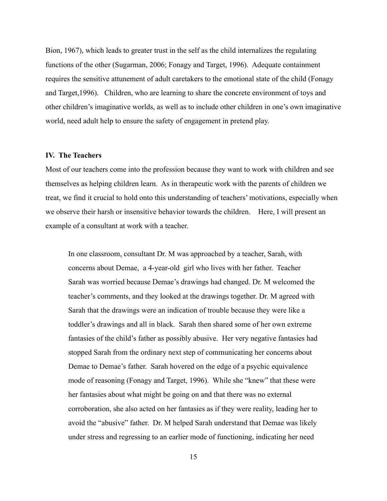Bion, 1967), which leads to greater trust in the self as the child internalizes the regulating functions of the other (Sugarman, 2006; Fonagy and Target, 1996). Adequate containment requires the sensitive attunement of adult caretakers to the emotional state of the child (Fonagy and Target,1996). Children, who are learning to share the concrete environment of toys and other children's imaginative worlds, as well as to include other children in one's own imaginative world, need adult help to ensure the safety of engagement in pretend play.

#### **IV. The Teachers**

Most of our teachers come into the profession because they want to work with children and see themselves as helping children learn. As in therapeutic work with the parents of children we treat, we find it crucial to hold onto this understanding of teachers' motivations, especially when we observe their harsh or insensitive behavior towards the children. Here, I will present an example of a consultant at work with a teacher.

In one classroom, consultant Dr. M was approached by a teacher, Sarah, with concerns about Demae, a 4-year-old girl who lives with her father. Teacher Sarah was worried because Demae's drawings had changed. Dr. M welcomed the teacher's comments, and they looked at the drawings together. Dr. M agreed with Sarah that the drawings were an indication of trouble because they were like a toddler's drawings and all in black. Sarah then shared some of her own extreme fantasies of the child's father as possibly abusive. Her very negative fantasies had stopped Sarah from the ordinary next step of communicating her concerns about Demae to Demae's father. Sarah hovered on the edge of a psychic equivalence mode of reasoning (Fonagy and Target, 1996). While she "knew" that these were her fantasies about what might be going on and that there was no external corroboration, she also acted on her fantasies as if they were reality, leading her to avoid the "abusive" father. Dr. M helped Sarah understand that Demae was likely under stress and regressing to an earlier mode of functioning, indicating her need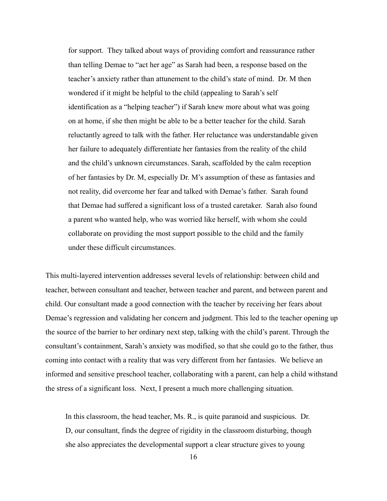for support. They talked about ways of providing comfort and reassurance rather than telling Demae to "act her age" as Sarah had been, a response based on the teacher's anxiety rather than attunement to the child's state of mind. Dr. M then wondered if it might be helpful to the child (appealing to Sarah's self identification as a "helping teacher") if Sarah knew more about what was going on at home, if she then might be able to be a better teacher for the child. Sarah reluctantly agreed to talk with the father. Her reluctance was understandable given her failure to adequately differentiate her fantasies from the reality of the child and the child's unknown circumstances. Sarah, scaffolded by the calm reception of her fantasies by Dr. M, especially Dr. M's assumption of these as fantasies and not reality, did overcome her fear and talked with Demae's father. Sarah found that Demae had suffered a significant loss of a trusted caretaker. Sarah also found a parent who wanted help, who was worried like herself, with whom she could collaborate on providing the most support possible to the child and the family under these difficult circumstances.

This multi-layered intervention addresses several levels of relationship: between child and teacher, between consultant and teacher, between teacher and parent, and between parent and child. Our consultant made a good connection with the teacher by receiving her fears about Demae's regression and validating her concern and judgment. This led to the teacher opening up the source of the barrier to her ordinary next step, talking with the child's parent. Through the consultant's containment, Sarah's anxiety was modified, so that she could go to the father, thus coming into contact with a reality that was very different from her fantasies. We believe an informed and sensitive preschool teacher, collaborating with a parent, can help a child withstand the stress of a significant loss. Next, I present a much more challenging situation.

In this classroom, the head teacher, Ms. R., is quite paranoid and suspicious. Dr. D, our consultant, finds the degree of rigidity in the classroom disturbing, though she also appreciates the developmental support a clear structure gives to young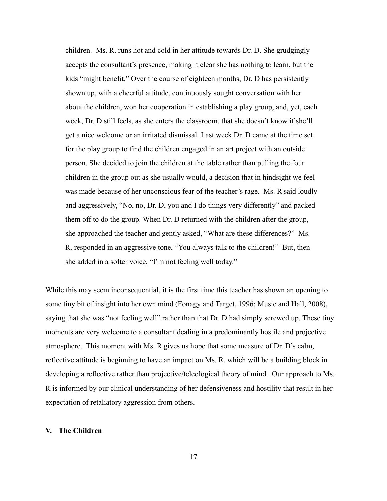children. Ms. R. runs hot and cold in her attitude towards Dr. D. She grudgingly accepts the consultant's presence, making it clear she has nothing to learn, but the kids "might benefit." Over the course of eighteen months, Dr. D has persistently shown up, with a cheerful attitude, continuously sought conversation with her about the children, won her cooperation in establishing a play group, and, yet, each week, Dr. D still feels, as she enters the classroom, that she doesn't know if she'll get a nice welcome or an irritated dismissal. Last week Dr. D came at the time set for the play group to find the children engaged in an art project with an outside person. She decided to join the children at the table rather than pulling the four children in the group out as she usually would, a decision that in hindsight we feel was made because of her unconscious fear of the teacher's rage. Ms. R said loudly and aggressively, "No, no, Dr. D, you and I do things very differently" and packed them off to do the group. When Dr. D returned with the children after the group, she approached the teacher and gently asked, "What are these differences?" Ms. R. responded in an aggressive tone, "You always talk to the children!" But, then she added in a softer voice, "I'm not feeling well today."

While this may seem inconsequential, it is the first time this teacher has shown an opening to some tiny bit of insight into her own mind (Fonagy and Target, 1996; Music and Hall, 2008), saying that she was "not feeling well" rather than that Dr. D had simply screwed up. These tiny moments are very welcome to a consultant dealing in a predominantly hostile and projective atmosphere. This moment with Ms. R gives us hope that some measure of Dr. D's calm, reflective attitude is beginning to have an impact on Ms. R, which will be a building block in developing a reflective rather than projective/teleological theory of mind. Our approach to Ms. R is informed by our clinical understanding of her defensiveness and hostility that result in her expectation of retaliatory aggression from others.

## **V. The Children**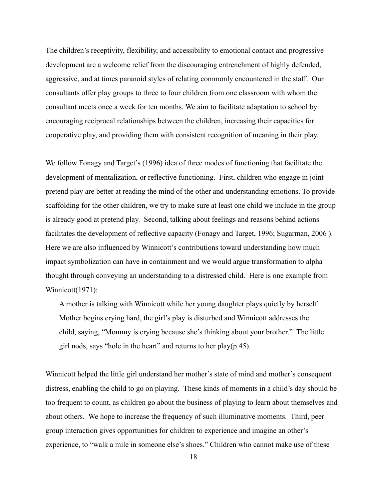The children's receptivity, flexibility, and accessibility to emotional contact and progressive development are a welcome relief from the discouraging entrenchment of highly defended, aggressive, and at times paranoid styles of relating commonly encountered in the staff. Our consultants offer play groups to three to four children from one classroom with whom the consultant meets once a week for ten months. We aim to facilitate adaptation to school by encouraging reciprocal relationships between the children, increasing their capacities for cooperative play, and providing them with consistent recognition of meaning in their play.

We follow Fonagy and Target's (1996) idea of three modes of functioning that facilitate the development of mentalization, or reflective functioning. First, children who engage in joint pretend play are better at reading the mind of the other and understanding emotions. To provide scaffolding for the other children, we try to make sure at least one child we include in the group is already good at pretend play. Second, talking about feelings and reasons behind actions facilitates the development of reflective capacity (Fonagy and Target, 1996; Sugarman, 2006 ). Here we are also influenced by Winnicott's contributions toward understanding how much impact symbolization can have in containment and we would argue transformation to alpha thought through conveying an understanding to a distressed child. Here is one example from Winnicott(1971):

A mother is talking with Winnicott while her young daughter plays quietly by herself. Mother begins crying hard, the girl's play is disturbed and Winnicott addresses the child, saying, "Mommy is crying because she's thinking about your brother." The little girl nods, says "hole in the heart" and returns to her play(p.45).

Winnicott helped the little girl understand her mother's state of mind and mother's consequent distress, enabling the child to go on playing. These kinds of moments in a child's day should be too frequent to count, as children go about the business of playing to learn about themselves and about others. We hope to increase the frequency of such illuminative moments. Third, peer group interaction gives opportunities for children to experience and imagine an other's experience, to "walk a mile in someone else's shoes." Children who cannot make use of these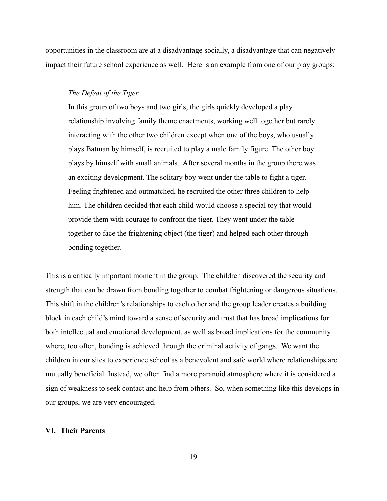opportunities in the classroom are at a disadvantage socially, a disadvantage that can negatively impact their future school experience as well. Here is an example from one of our play groups:

## *The Defeat of the Tiger*

In this group of two boys and two girls, the girls quickly developed a play relationship involving family theme enactments, working well together but rarely interacting with the other two children except when one of the boys, who usually plays Batman by himself, is recruited to play a male family figure. The other boy plays by himself with small animals. After several months in the group there was an exciting development. The solitary boy went under the table to fight a tiger. Feeling frightened and outmatched, he recruited the other three children to help him. The children decided that each child would choose a special toy that would provide them with courage to confront the tiger. They went under the table together to face the frightening object (the tiger) and helped each other through bonding together.

This is a critically important moment in the group. The children discovered the security and strength that can be drawn from bonding together to combat frightening or dangerous situations. This shift in the children's relationships to each other and the group leader creates a building block in each child's mind toward a sense of security and trust that has broad implications for both intellectual and emotional development, as well as broad implications for the community where, too often, bonding is achieved through the criminal activity of gangs. We want the children in our sites to experience school as a benevolent and safe world where relationships are mutually beneficial. Instead, we often find a more paranoid atmosphere where it is considered a sign of weakness to seek contact and help from others. So, when something like this develops in our groups, we are very encouraged.

## **VI. Their Parents**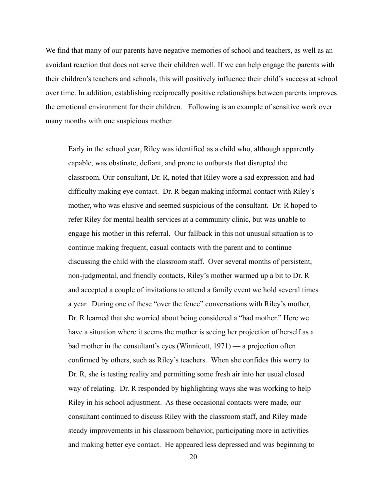We find that many of our parents have negative memories of school and teachers, as well as an avoidant reaction that does not serve their children well. If we can help engage the parents with their children's teachers and schools, this will positively influence their child's success at school over time. In addition, establishing reciprocally positive relationships between parents improves the emotional environment for their children. Following is an example of sensitive work over many months with one suspicious mother.

Early in the school year, Riley was identified as a child who, although apparently capable, was obstinate, defiant, and prone to outbursts that disrupted the classroom. Our consultant, Dr. R, noted that Riley wore a sad expression and had difficulty making eye contact. Dr. R began making informal contact with Riley's mother, who was elusive and seemed suspicious of the consultant. Dr. R hoped to refer Riley for mental health services at a community clinic, but was unable to engage his mother in this referral. Our fallback in this not unusual situation is to continue making frequent, casual contacts with the parent and to continue discussing the child with the classroom staff. Over several months of persistent, non-judgmental, and friendly contacts, Riley's mother warmed up a bit to Dr. R and accepted a couple of invitations to attend a family event we hold several times a year. During one of these "over the fence" conversations with Riley's mother, Dr. R learned that she worried about being considered a "bad mother." Here we have a situation where it seems the mother is seeing her projection of herself as a bad mother in the consultant's eyes (Winnicott, 1971) — a projection often confirmed by others, such as Riley's teachers. When she confides this worry to Dr. R, she is testing reality and permitting some fresh air into her usual closed way of relating. Dr. R responded by highlighting ways she was working to help Riley in his school adjustment. As these occasional contacts were made, our consultant continued to discuss Riley with the classroom staff, and Riley made steady improvements in his classroom behavior, participating more in activities and making better eye contact. He appeared less depressed and was beginning to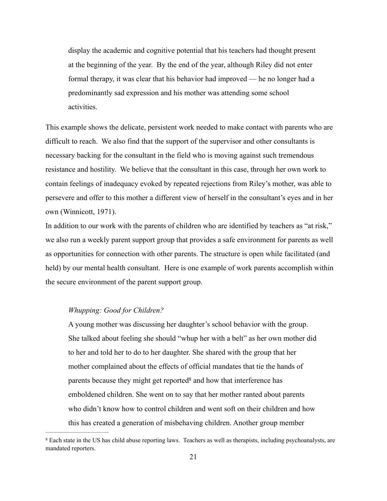display the academic and cognitive potential that his teachers had thought present at the beginning of the year. By the end of the year, although Riley did not enter formal therapy, it was clear that his behavior had improved — he no longer had a predominantly sad expression and his mother was attending some school activities.

This example shows the delicate, persistent work needed to make contact with parents who are difficult to reach. We also find that the support of the supervisor and other consultants is necessary backing for the consultant in the field who is moving against such tremendous resistance and hostility. We believe that the consultant in this case, through her own work to contain feelings of inadequacy evoked by repeated rejections from Riley's mother, was able to persevere and offer to this mother a different view of herself in the consultant's eyes and in her own (Winnicott, 1971).

In addition to our work with the parents of children who are identified by teachers as "at risk," we also run a weekly parent support group that provides a safe environment for parents as well as opportunities for connection with other parents. The structure is open while facilitated (and held) by our mental health consultant. Here is one example of work parents accomplish within the secure environment of the parent support group.

## *Whupping: Good for Children?*

A young mother was discussing her daughter's school behavior with the group. She talked about feeling she should "whup her with a belt" as her own mother did to her and told her to do to her daughter. She shared with the group that her mother complained about the effects of official mandates that tie the hands of parents because they might get reported<sup>8</sup> and how that interference has emboldened children. She went on to say that her mother ranted about parents who didn't know how to control children and went soft on their children and how this has created a generation of misbehaving children. Another group member

<sup>&</sup>lt;sup>8</sup> Each state in the US has child abuse reporting laws. Teachers as well as therapists, including psychoanalysts, are mandated reporters.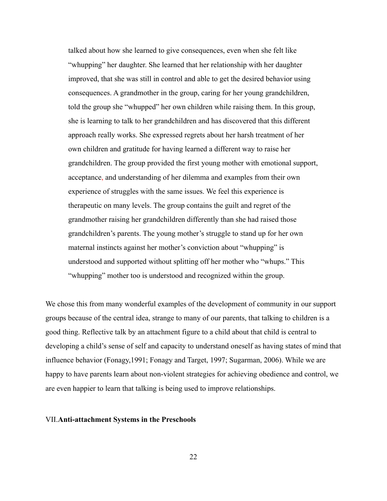talked about how she learned to give consequences, even when she felt like "whupping" her daughter. She learned that her relationship with her daughter improved, that she was still in control and able to get the desired behavior using consequences. A grandmother in the group, caring for her young grandchildren, told the group she "whupped" her own children while raising them. In this group, she is learning to talk to her grandchildren and has discovered that this different approach really works. She expressed regrets about her harsh treatment of her own children and gratitude for having learned a different way to raise her grandchildren. The group provided the first young mother with emotional support, acceptance, and understanding of her dilemma and examples from their own experience of struggles with the same issues. We feel this experience is therapeutic on many levels. The group contains the guilt and regret of the grandmother raising her grandchildren differently than she had raised those grandchildren's parents. The young mother's struggle to stand up for her own maternal instincts against her mother's conviction about "whupping" is understood and supported without splitting off her mother who "whups." This "whupping" mother too is understood and recognized within the group.

We chose this from many wonderful examples of the development of community in our support groups because of the central idea, strange to many of our parents, that talking to children is a good thing. Reflective talk by an attachment figure to a child about that child is central to developing a child's sense of self and capacity to understand oneself as having states of mind that influence behavior (Fonagy,1991; Fonagy and Target, 1997; Sugarman, 2006). While we are happy to have parents learn about non-violent strategies for achieving obedience and control, we are even happier to learn that talking is being used to improve relationships.

## VII.**Anti-attachment Systems in the Preschools**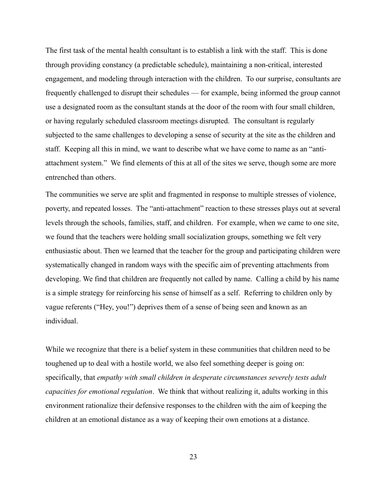The first task of the mental health consultant is to establish a link with the staff. This is done through providing constancy (a predictable schedule), maintaining a non-critical, interested engagement, and modeling through interaction with the children. To our surprise, consultants are frequently challenged to disrupt their schedules — for example, being informed the group cannot use a designated room as the consultant stands at the door of the room with four small children, or having regularly scheduled classroom meetings disrupted. The consultant is regularly subjected to the same challenges to developing a sense of security at the site as the children and staff. Keeping all this in mind, we want to describe what we have come to name as an "antiattachment system." We find elements of this at all of the sites we serve, though some are more entrenched than others.

The communities we serve are split and fragmented in response to multiple stresses of violence, poverty, and repeated losses. The "anti-attachment" reaction to these stresses plays out at several levels through the schools, families, staff, and children. For example, when we came to one site, we found that the teachers were holding small socialization groups, something we felt very enthusiastic about. Then we learned that the teacher for the group and participating children were systematically changed in random ways with the specific aim of preventing attachments from developing. We find that children are frequently not called by name. Calling a child by his name is a simple strategy for reinforcing his sense of himself as a self. Referring to children only by vague referents ("Hey, you!") deprives them of a sense of being seen and known as an individual.

While we recognize that there is a belief system in these communities that children need to be toughened up to deal with a hostile world, we also feel something deeper is going on: specifically, that *empathy with small children in desperate circumstances severely tests adult capacities for emotional regulation*. We think that without realizing it, adults working in this environment rationalize their defensive responses to the children with the aim of keeping the children at an emotional distance as a way of keeping their own emotions at a distance.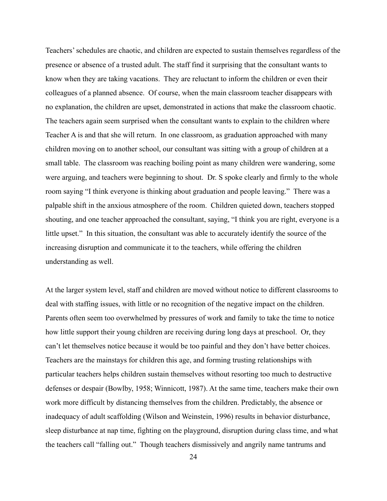Teachers' schedules are chaotic, and children are expected to sustain themselves regardless of the presence or absence of a trusted adult. The staff find it surprising that the consultant wants to know when they are taking vacations. They are reluctant to inform the children or even their colleagues of a planned absence. Of course, when the main classroom teacher disappears with no explanation, the children are upset, demonstrated in actions that make the classroom chaotic. The teachers again seem surprised when the consultant wants to explain to the children where Teacher A is and that she will return. In one classroom, as graduation approached with many children moving on to another school, our consultant was sitting with a group of children at a small table. The classroom was reaching boiling point as many children were wandering, some were arguing, and teachers were beginning to shout. Dr. S spoke clearly and firmly to the whole room saying "I think everyone is thinking about graduation and people leaving." There was a palpable shift in the anxious atmosphere of the room. Children quieted down, teachers stopped shouting, and one teacher approached the consultant, saying, "I think you are right, everyone is a little upset." In this situation, the consultant was able to accurately identify the source of the increasing disruption and communicate it to the teachers, while offering the children understanding as well.

At the larger system level, staff and children are moved without notice to different classrooms to deal with staffing issues, with little or no recognition of the negative impact on the children. Parents often seem too overwhelmed by pressures of work and family to take the time to notice how little support their young children are receiving during long days at preschool. Or, they can't let themselves notice because it would be too painful and they don't have better choices. Teachers are the mainstays for children this age, and forming trusting relationships with particular teachers helps children sustain themselves without resorting too much to destructive defenses or despair (Bowlby, 1958; Winnicott, 1987). At the same time, teachers make their own work more difficult by distancing themselves from the children. Predictably, the absence or inadequacy of adult scaffolding (Wilson and Weinstein, 1996) results in behavior disturbance, sleep disturbance at nap time, fighting on the playground, disruption during class time, and what the teachers call "falling out." Though teachers dismissively and angrily name tantrums and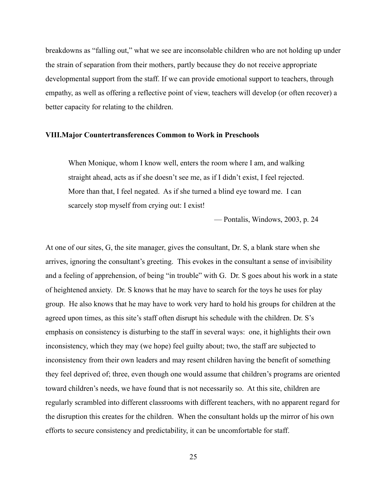breakdowns as "falling out," what we see are inconsolable children who are not holding up under the strain of separation from their mothers, partly because they do not receive appropriate developmental support from the staff. If we can provide emotional support to teachers, through empathy, as well as offering a reflective point of view, teachers will develop (or often recover) a better capacity for relating to the children.

#### **VIII.Major Countertransferences Common to Work in Preschools**

When Monique, whom I know well, enters the room where I am, and walking straight ahead, acts as if she doesn't see me, as if I didn't exist, I feel rejected. More than that, I feel negated. As if she turned a blind eye toward me. I can scarcely stop myself from crying out: I exist!

— Pontalis, Windows, 2003, p. 24

At one of our sites, G, the site manager, gives the consultant, Dr. S, a blank stare when she arrives, ignoring the consultant's greeting. This evokes in the consultant a sense of invisibility and a feeling of apprehension, of being "in trouble" with G. Dr. S goes about his work in a state of heightened anxiety. Dr. S knows that he may have to search for the toys he uses for play group. He also knows that he may have to work very hard to hold his groups for children at the agreed upon times, as this site's staff often disrupt his schedule with the children. Dr. S's emphasis on consistency is disturbing to the staff in several ways: one, it highlights their own inconsistency, which they may (we hope) feel guilty about; two, the staff are subjected to inconsistency from their own leaders and may resent children having the benefit of something they feel deprived of; three, even though one would assume that children's programs are oriented toward children's needs, we have found that is not necessarily so. At this site, children are regularly scrambled into different classrooms with different teachers, with no apparent regard for the disruption this creates for the children. When the consultant holds up the mirror of his own efforts to secure consistency and predictability, it can be uncomfortable for staff.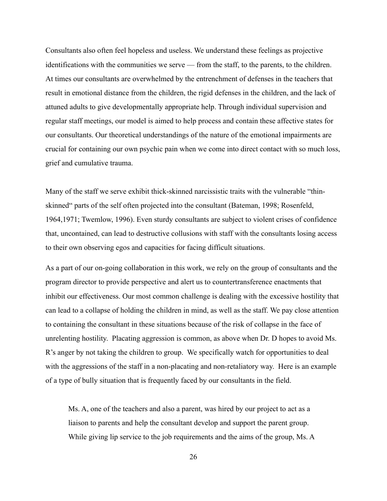Consultants also often feel hopeless and useless. We understand these feelings as projective identifications with the communities we serve — from the staff, to the parents, to the children. At times our consultants are overwhelmed by the entrenchment of defenses in the teachers that result in emotional distance from the children, the rigid defenses in the children, and the lack of attuned adults to give developmentally appropriate help. Through individual supervision and regular staff meetings, our model is aimed to help process and contain these affective states for our consultants. Our theoretical understandings of the nature of the emotional impairments are crucial for containing our own psychic pain when we come into direct contact with so much loss, grief and cumulative trauma.

Many of the staff we serve exhibit thick-skinned narcissistic traits with the vulnerable "thinskinned" parts of the self often projected into the consultant (Bateman, 1998; Rosenfeld, 1964,1971; Twemlow, 1996). Even sturdy consultants are subject to violent crises of confidence that, uncontained, can lead to destructive collusions with staff with the consultants losing access to their own observing egos and capacities for facing difficult situations.

As a part of our on-going collaboration in this work, we rely on the group of consultants and the program director to provide perspective and alert us to countertransference enactments that inhibit our effectiveness. Our most common challenge is dealing with the excessive hostility that can lead to a collapse of holding the children in mind, as well as the staff. We pay close attention to containing the consultant in these situations because of the risk of collapse in the face of unrelenting hostility. Placating aggression is common, as above when Dr. D hopes to avoid Ms. R's anger by not taking the children to group. We specifically watch for opportunities to deal with the aggressions of the staff in a non-placating and non-retaliatory way. Here is an example of a type of bully situation that is frequently faced by our consultants in the field.

Ms. A, one of the teachers and also a parent, was hired by our project to act as a liaison to parents and help the consultant develop and support the parent group. While giving lip service to the job requirements and the aims of the group, Ms. A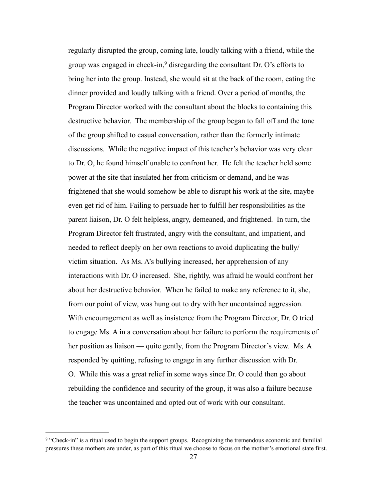regularly disrupted the group, coming late, loudly talking with a friend, while the group was engaged in check-in,<sup>9</sup> disregarding the consultant Dr. O's efforts to bring her into the group. Instead, she would sit at the back of the room, eating the dinner provided and loudly talking with a friend. Over a period of months, the Program Director worked with the consultant about the blocks to containing this destructive behavior. The membership of the group began to fall off and the tone of the group shifted to casual conversation, rather than the formerly intimate discussions. While the negative impact of this teacher's behavior was very clear to Dr. O, he found himself unable to confront her. He felt the teacher held some power at the site that insulated her from criticism or demand, and he was frightened that she would somehow be able to disrupt his work at the site, maybe even get rid of him. Failing to persuade her to fulfill her responsibilities as the parent liaison, Dr. O felt helpless, angry, demeaned, and frightened. In turn, the Program Director felt frustrated, angry with the consultant, and impatient, and needed to reflect deeply on her own reactions to avoid duplicating the bully/ victim situation. As Ms. A's bullying increased, her apprehension of any interactions with Dr. O increased. She, rightly, was afraid he would confront her about her destructive behavior. When he failed to make any reference to it, she, from our point of view, was hung out to dry with her uncontained aggression. With encouragement as well as insistence from the Program Director, Dr. O tried to engage Ms. A in a conversation about her failure to perform the requirements of her position as liaison — quite gently, from the Program Director's view. Ms. A responded by quitting, refusing to engage in any further discussion with Dr. O. While this was a great relief in some ways since Dr. O could then go about rebuilding the confidence and security of the group, it was also a failure because the teacher was uncontained and opted out of work with our consultant.

<sup>&</sup>lt;sup>9</sup> "Check-in" is a ritual used to begin the support groups. Recognizing the tremendous economic and familial pressures these mothers are under, as part of this ritual we choose to focus on the mother's emotional state first.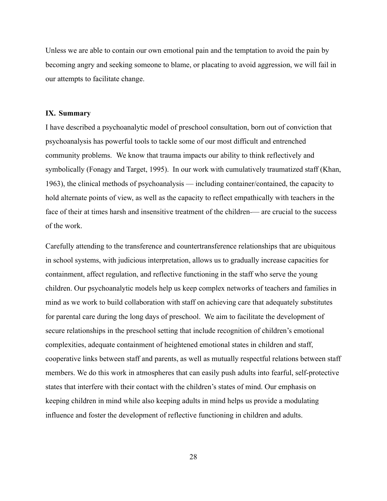Unless we are able to contain our own emotional pain and the temptation to avoid the pain by becoming angry and seeking someone to blame, or placating to avoid aggression, we will fail in our attempts to facilitate change.

#### **IX. Summary**

I have described a psychoanalytic model of preschool consultation, born out of conviction that psychoanalysis has powerful tools to tackle some of our most difficult and entrenched community problems. We know that trauma impacts our ability to think reflectively and symbolically (Fonagy and Target, 1995). In our work with cumulatively traumatized staff (Khan, 1963), the clinical methods of psychoanalysis — including container/contained, the capacity to hold alternate points of view, as well as the capacity to reflect empathically with teachers in the face of their at times harsh and insensitive treatment of the children— are crucial to the success of the work.

Carefully attending to the transference and countertransference relationships that are ubiquitous in school systems, with judicious interpretation, allows us to gradually increase capacities for containment, affect regulation, and reflective functioning in the staff who serve the young children. Our psychoanalytic models help us keep complex networks of teachers and families in mind as we work to build collaboration with staff on achieving care that adequately substitutes for parental care during the long days of preschool. We aim to facilitate the development of secure relationships in the preschool setting that include recognition of children's emotional complexities, adequate containment of heightened emotional states in children and staff, cooperative links between staff and parents, as well as mutually respectful relations between staff members. We do this work in atmospheres that can easily push adults into fearful, self-protective states that interfere with their contact with the children's states of mind. Our emphasis on keeping children in mind while also keeping adults in mind helps us provide a modulating influence and foster the development of reflective functioning in children and adults.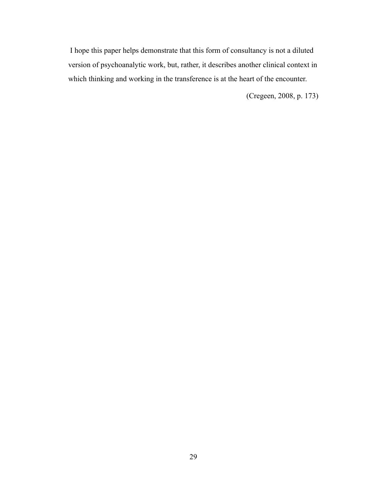I hope this paper helps demonstrate that this form of consultancy is not a diluted version of psychoanalytic work, but, rather, it describes another clinical context in which thinking and working in the transference is at the heart of the encounter.

(Cregeen, 2008, p. 173)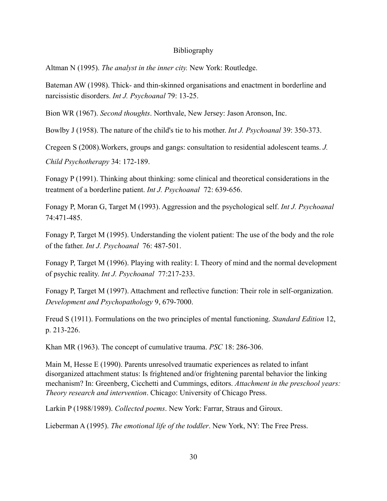## Bibliography

Altman N (1995). *The analyst in the inner city.* New York: Routledge.

Bateman AW (1998). Thick- and thin-skinned organisations and enactment in borderline and narcissistic disorders. *Int J. Psychoanal* 79: 13-25.

Bion WR (1967). *Second thoughts*. Northvale, New Jersey: Jason Aronson, Inc.

Bowlby J (1958). The nature of the child's tie to his mother. *Int J. Psychoanal* 39: 350-373.

Cregeen S (2008).Workers, groups and gangs: consultation to residential adolescent teams. *J. Child Psychotherapy* 34: 172-189.

Fonagy P (1991). Thinking about thinking: some clinical and theoretical considerations in the treatment of a borderline patient. *Int J. Psychoanal* 72: 639-656.

Fonagy P, Moran G, Target M (1993). Aggression and the psychological self. *Int J. Psychoanal* 74:471-485.

Fonagy P, Target M (1995). Understanding the violent patient: The use of the body and the role of the father. *Int J. Psychoanal* 76: 487-501.

Fonagy P, Target M (1996). Playing with reality: I. Theory of mind and the normal development of psychic reality. *Int J. Psychoanal* 77:217-233.

Fonagy P, Target M (1997). Attachment and reflective function: Their role in self-organization. *Development and Psychopathology* 9, 679-7000.

Freud S (1911). Formulations on the two principles of mental functioning. *Standard Edition* 12, p. 213-226.

Khan MR (1963). The concept of cumulative trauma. *PSC* 18: 286-306.

Main M, Hesse E (1990). Parents unresolved traumatic experiences as related to infant disorganized attachment status: Is frightened and/or frightening parental behavior the linking mechanism? In: Greenberg, Cicchetti and Cummings, editors. *Attachment in the preschool years: Theory research and intervention*. Chicago: University of Chicago Press.

Larkin P (1988/1989). *Collected poems*. New York: Farrar, Straus and Giroux.

Lieberman A (1995). *The emotional life of the toddler*. New York, NY: The Free Press.